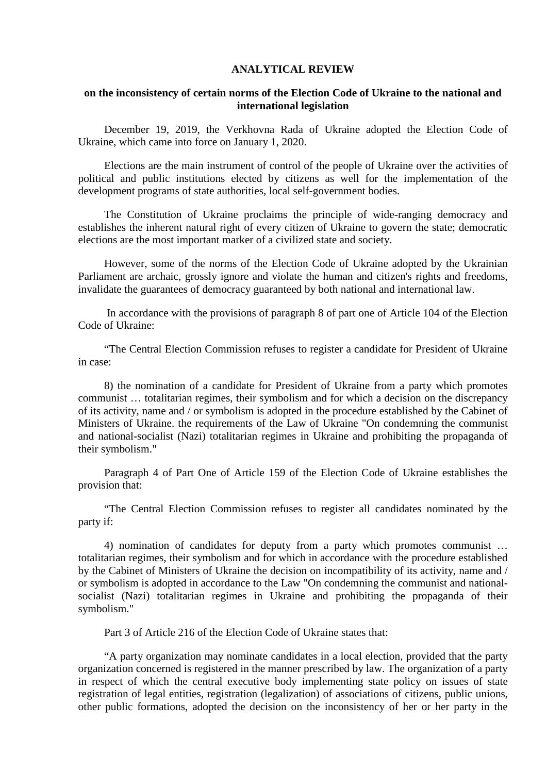### **ANALYTICAL REVIEW**

#### **on the inconsistency of certain norms of the Election Code of Ukraine to the national and international legislation**

December 19, 2019, the Verkhovna Rada of Ukraine adopted the Election Code of Ukraine, which came into force on January 1, 2020.

Elections are the main instrument of control of the people of Ukraine over the activities of political and public institutions elected by citizens as well for the implementation of the development programs of state authorities, local self-government bodies.

The Constitution of Ukraine proclaims the principle of wide-ranging democracy and establishes the inherent natural right of every citizen of Ukraine to govern the state; democratic elections are the most important marker of a civilized state and society.

However, some of the norms of the Election Code of Ukraine adopted by the Ukrainian Parliament are archaic, grossly ignore and violate the human and citizen's rights and freedoms, invalidate the guarantees of democracy guaranteed by both national and international law.

In accordance with the provisions of paragraph 8 of part one of Article 104 of the Election Code of Ukraine:

"The Central Election Commission refuses to register a candidate for President of Ukraine in case:

8) the nomination of a candidate for President of Ukraine from a party which promotes communist … totalitarian regimes, their symbolism and for which a decision on the discrepancy of its activity, name and / or symbolism is adopted in the procedure established by the Cabinet of Ministers of Ukraine. the requirements of the Law of Ukraine "On condemning the communist and national-socialist (Nazi) totalitarian regimes in Ukraine and prohibiting the propaganda of their symbolism."

Paragraph 4 of Part One of Article 159 of the Election Code of Ukraine establishes the provision that:

"The Central Election Commission refuses to register all candidates nominated by the party if:

4) nomination of candidates for deputy from a party which promotes communist … totalitarian regimes, their symbolism and for which in accordance with the procedure established by the Cabinet of Ministers of Ukraine the decision on incompatibility of its activity, name and / or symbolism is adopted in accordance to the Law "On condemning the communist and nationalsocialist (Nazi) totalitarian regimes in Ukraine and prohibiting the propaganda of their symbolism."

Part 3 of Article 216 of the Election Code of Ukraine states that:

"A party organization may nominate candidates in a local election, provided that the party organization concerned is registered in the manner prescribed by law. The organization of a party in respect of which the central executive body implementing state policy on issues of state registration of legal entities, registration (legalization) of associations of citizens, public unions, other public formations, adopted the decision on the inconsistency of her or her party in the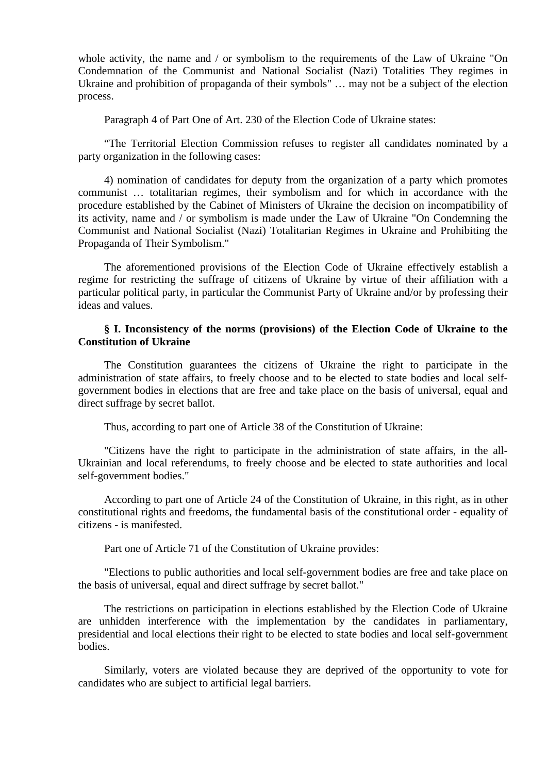whole activity, the name and / or symbolism to the requirements of the Law of Ukraine "On Condemnation of the Communist and National Socialist (Nazi) Totalities They regimes in Ukraine and prohibition of propaganda of their symbols" … may not be a subject of the election process.

Paragraph 4 of Part One of Art. 230 of the Election Code of Ukraine states:

"The Territorial Election Commission refuses to register all candidates nominated by a party organization in the following cases:

4) nomination of candidates for deputy from the organization of a party which promotes communist … totalitarian regimes, their symbolism and for which in accordance with the procedure established by the Cabinet of Ministers of Ukraine the decision on incompatibility of its activity, name and / or symbolism is made under the Law of Ukraine "On Condemning the Communist and National Socialist (Nazi) Totalitarian Regimes in Ukraine and Prohibiting the Propaganda of Their Symbolism."

The aforementioned provisions of the Election Code of Ukraine effectively establish a regime for restricting the suffrage of citizens of Ukraine by virtue of their affiliation with a particular political party, in particular the Communist Party of Ukraine and/or by professing their ideas and values.

#### **§ I. Inconsistency of the norms (provisions) of the Election Code of Ukraine to the Constitution of Ukraine**

The Constitution guarantees the citizens of Ukraine the right to participate in the administration of state affairs, to freely choose and to be elected to state bodies and local selfgovernment bodies in elections that are free and take place on the basis of universal, equal and direct suffrage by secret ballot.

Thus, according to part one of Article 38 of the Constitution of Ukraine:

"Citizens have the right to participate in the administration of state affairs, in the all-Ukrainian and local referendums, to freely choose and be elected to state authorities and local self-government bodies."

According to part one of Article 24 of the Constitution of Ukraine, in this right, as in other constitutional rights and freedoms, the fundamental basis of the constitutional order - equality of citizens - is manifested.

Part one of Article 71 of the Constitution of Ukraine provides:

"Elections to public authorities and local self-government bodies are free and take place on the basis of universal, equal and direct suffrage by secret ballot."

The restrictions on participation in elections established by the Election Code of Ukraine are unhidden interference with the implementation by the candidates in parliamentary, presidential and local elections their right to be elected to state bodies and local self-government bodies.

Similarly, voters are violated because they are deprived of the opportunity to vote for candidates who are subject to artificial legal barriers.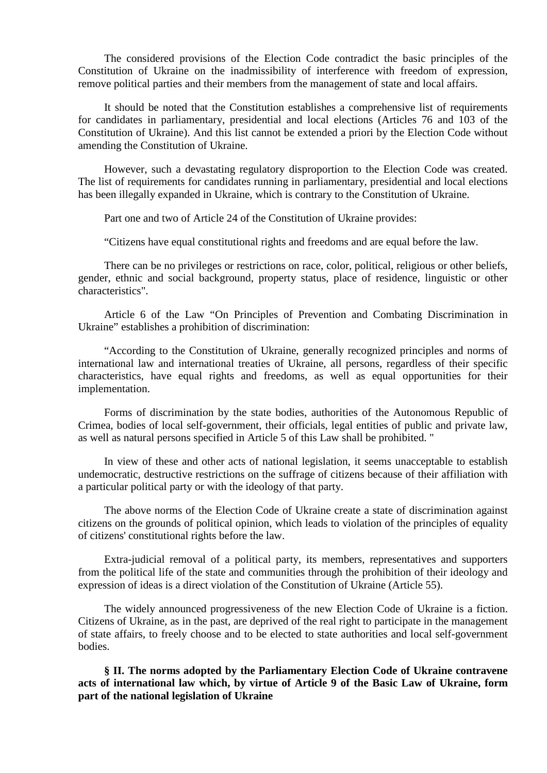The considered provisions of the Election Code contradict the basic principles of the Constitution of Ukraine on the inadmissibility of interference with freedom of expression, remove political parties and their members from the management of state and local affairs.

It should be noted that the Constitution establishes a comprehensive list of requirements for candidates in parliamentary, presidential and local elections (Articles 76 and 103 of the Constitution of Ukraine). And this list cannot be extended a priori by the Election Code without amending the Constitution of Ukraine.

However, such a devastating regulatory disproportion to the Election Code was created. The list of requirements for candidates running in parliamentary, presidential and local elections has been illegally expanded in Ukraine, which is contrary to the Constitution of Ukraine.

Part one and two of Article 24 of the Constitution of Ukraine provides:

"Citizens have equal constitutional rights and freedoms and are equal before the law.

There can be no privileges or restrictions on race, color, political, religious or other beliefs, gender, ethnic and social background, property status, place of residence, linguistic or other characteristics".

Article 6 of the Law "On Principles of Prevention and Combating Discrimination in Ukraine" establishes a prohibition of discrimination:

"According to the Constitution of Ukraine, generally recognized principles and norms of international law and international treaties of Ukraine, all persons, regardless of their specific characteristics, have equal rights and freedoms, as well as equal opportunities for their implementation.

Forms of discrimination by the state bodies, authorities of the Autonomous Republic of Crimea, bodies of local self-government, their officials, legal entities of public and private law, as well as natural persons specified in Article 5 of this Law shall be prohibited. "

In view of these and other acts of national legislation, it seems unacceptable to establish undemocratic, destructive restrictions on the suffrage of citizens because of their affiliation with a particular political party or with the ideology of that party.

The above norms of the Election Code of Ukraine create a state of discrimination against citizens on the grounds of political opinion, which leads to violation of the principles of equality of citizens' constitutional rights before the law.

Extra-judicial removal of a political party, its members, representatives and supporters from the political life of the state and communities through the prohibition of their ideology and expression of ideas is a direct violation of the Constitution of Ukraine (Article 55).

The widely announced progressiveness of the new Election Code of Ukraine is a fiction. Citizens of Ukraine, as in the past, are deprived of the real right to participate in the management of state affairs, to freely choose and to be elected to state authorities and local self-government bodies.

**§ II. The norms adopted by the Parliamentary Election Code of Ukraine contravene acts of international law which, by virtue of Article 9 of the Basic Law of Ukraine, form part of the national legislation of Ukraine**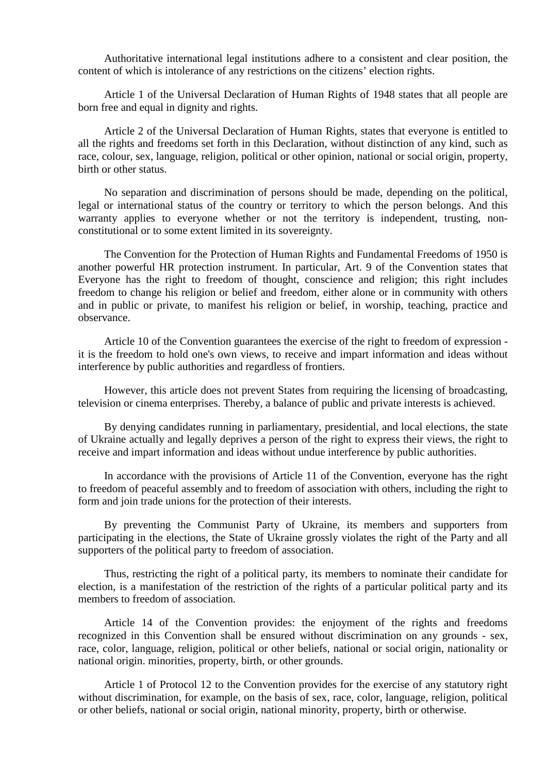Authoritative international legal institutions adhere to a consistent and clear position, the content of which is intolerance of any restrictions on the citizens' election rights.

Article 1 of the Universal Declaration of Human Rights of 1948 states that all people are born free and equal in dignity and rights.

Article 2 of the Universal Declaration of Human Rights, states that everyone is entitled to all the rights and freedoms set forth in this Declaration, without distinction of any kind, such as race, colour, sex, language, religion, political or other opinion, national or social origin, property, birth or other status.

No separation and discrimination of persons should be made, depending on the political, legal or international status of the country or territory to which the person belongs. And this warranty applies to everyone whether or not the territory is independent, trusting, nonconstitutional or to some extent limited in its sovereignty.

The Convention for the Protection of Human Rights and Fundamental Freedoms of 1950 is another powerful HR protection instrument. In particular, Art. 9 of the Convention states that Everyone has the right to freedom of thought, conscience and religion; this right includes freedom to change his religion or belief and freedom, either alone or in community with others and in public or private, to manifest his religion or belief, in worship, teaching, practice and observance.

Article 10 of the Convention guarantees the exercise of the right to freedom of expression it is the freedom to hold one's own views, to receive and impart information and ideas without interference by public authorities and regardless of frontiers.

However, this article does not prevent States from requiring the licensing of broadcasting, television or cinema enterprises. Thereby, a balance of public and private interests is achieved.

By denying candidates running in parliamentary, presidential, and local elections, the state of Ukraine actually and legally deprives a person of the right to express their views, the right to receive and impart information and ideas without undue interference by public authorities.

In accordance with the provisions of Article 11 of the Convention, everyone has the right to freedom of peaceful assembly and to freedom of association with others, including the right to form and join trade unions for the protection of their interests.

By preventing the Communist Party of Ukraine, its members and supporters from participating in the elections, the State of Ukraine grossly violates the right of the Party and all supporters of the political party to freedom of association.

Thus, restricting the right of a political party, its members to nominate their candidate for election, is a manifestation of the restriction of the rights of a particular political party and its members to freedom of association.

Article 14 of the Convention provides: the enjoyment of the rights and freedoms recognized in this Convention shall be ensured without discrimination on any grounds - sex, race, color, language, religion, political or other beliefs, national or social origin, nationality or national origin. minorities, property, birth, or other grounds.

Article 1 of Protocol 12 to the Convention provides for the exercise of any statutory right without discrimination, for example, on the basis of sex, race, color, language, religion, political or other beliefs, national or social origin, national minority, property, birth or otherwise.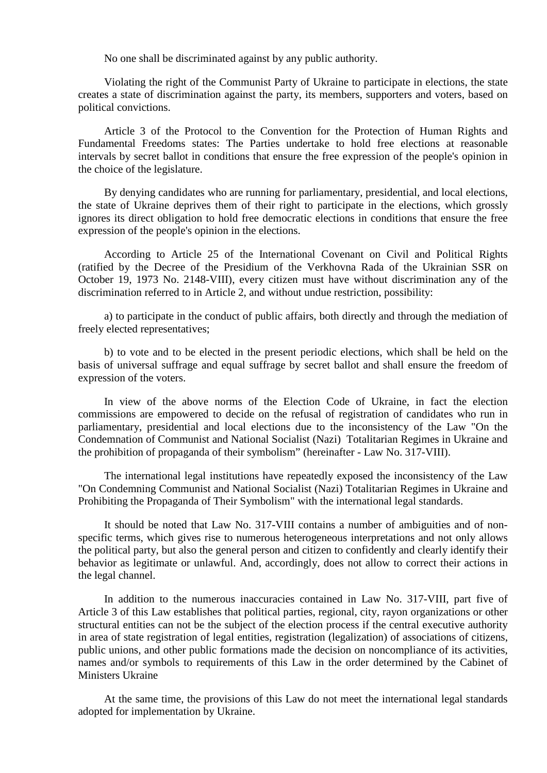No one shall be discriminated against by any public authority.

Violating the right of the Communist Party of Ukraine to participate in elections, the state creates a state of discrimination against the party, its members, supporters and voters, based on political convictions.

Article 3 of the Protocol to the Convention for the Protection of Human Rights and Fundamental Freedoms states: The Parties undertake to hold free elections at reasonable intervals by secret ballot in conditions that ensure the free expression of the people's opinion in the choice of the legislature.

By denying candidates who are running for parliamentary, presidential, and local elections, the state of Ukraine deprives them of their right to participate in the elections, which grossly ignores its direct obligation to hold free democratic elections in conditions that ensure the free expression of the people's opinion in the elections.

According to Article 25 of the International Covenant on Civil and Political Rights (ratified by the Decree of the Presidium of the Verkhovna Rada of the Ukrainian SSR on October 19, 1973 No. 2148-VIII), every citizen must have without discrimination any of the discrimination referred to in Article 2, and without undue restriction, possibility:

a) to participate in the conduct of public affairs, both directly and through the mediation of freely elected representatives;

b) to vote and to be elected in the present periodic elections, which shall be held on the basis of universal suffrage and equal suffrage by secret ballot and shall ensure the freedom of expression of the voters.

In view of the above norms of the Election Code of Ukraine, in fact the election commissions are empowered to decide on the refusal of registration of candidates who run in parliamentary, presidential and local elections due to the inconsistency of the Law "On the Condemnation of Communist and National Socialist (Nazi) Totalitarian Regimes in Ukraine and the prohibition of propaganda of their symbolism" (hereinafter - Law No. 317-VIII).

The international legal institutions have repeatedly exposed the inconsistency of the Law "On Condemning Communist and National Socialist (Nazi) Totalitarian Regimes in Ukraine and Prohibiting the Propaganda of Their Symbolism" with the international legal standards.

It should be noted that Law No. 317-VIII contains a number of ambiguities and of nonspecific terms, which gives rise to numerous heterogeneous interpretations and not only allows the political party, but also the general person and citizen to confidently and clearly identify their behavior as legitimate or unlawful. And, accordingly, does not allow to correct their actions in the legal channel.

In addition to the numerous inaccuracies contained in Law No. 317-VIII, part five of Article 3 of this Law establishes that political parties, regional, city, rayon organizations or other structural entities can not be the subject of the election process if the central executive authority in area of state registration of legal entities, registration (legalization) of associations of citizens, public unions, and other public formations made the decision on noncompliance of its activities, names and/or symbols to requirements of this Law in the order determined by the Cabinet of Ministers Ukraine

At the same time, the provisions of this Law do not meet the international legal standards adopted for implementation by Ukraine.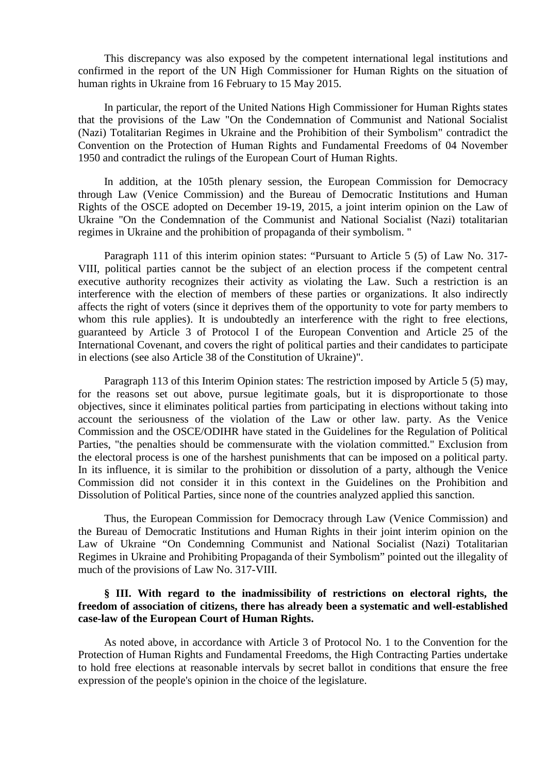This discrepancy was also exposed by the competent international legal institutions and confirmed in the report of the UN High Commissioner for Human Rights on the situation of human rights in Ukraine from 16 February to 15 May 2015.

In particular, the report of the United Nations High Commissioner for Human Rights states that the provisions of the Law "On the Condemnation of Communist and National Socialist (Nazi) Totalitarian Regimes in Ukraine and the Prohibition of their Symbolism" contradict the Convention on the Protection of Human Rights and Fundamental Freedoms of 04 November 1950 and contradict the rulings of the European Court of Human Rights.

In addition, at the 105th plenary session, the European Commission for Democracy through Law (Venice Commission) and the Bureau of Democratic Institutions and Human Rights of the OSCE adopted on December 19-19, 2015, a joint interim opinion on the Law of Ukraine "On the Condemnation of the Communist and National Socialist (Nazi) totalitarian regimes in Ukraine and the prohibition of propaganda of their symbolism. "

Paragraph 111 of this interim opinion states: "Pursuant to Article 5 (5) of Law No. 317- VIII, political parties cannot be the subject of an election process if the competent central executive authority recognizes their activity as violating the Law. Such a restriction is an interference with the election of members of these parties or organizations. It also indirectly affects the right of voters (since it deprives them of the opportunity to vote for party members to whom this rule applies). It is undoubtedly an interference with the right to free elections, guaranteed by Article 3 of Protocol I of the European Convention and Article 25 of the International Covenant, and covers the right of political parties and their candidates to participate in elections (see also Article 38 of the Constitution of Ukraine)".

Paragraph 113 of this Interim Opinion states: The restriction imposed by Article 5 (5) may, for the reasons set out above, pursue legitimate goals, but it is disproportionate to those objectives, since it eliminates political parties from participating in elections without taking into account the seriousness of the violation of the Law or other law. party. As the Venice Commission and the OSCE/ODIHR have stated in the Guidelines for the Regulation of Political Parties, "the penalties should be commensurate with the violation committed." Exclusion from the electoral process is one of the harshest punishments that can be imposed on a political party. In its influence, it is similar to the prohibition or dissolution of a party, although the Venice Commission did not consider it in this context in the Guidelines on the Prohibition and Dissolution of Political Parties, since none of the countries analyzed applied this sanction.

Thus, the European Commission for Democracy through Law (Venice Commission) and the Bureau of Democratic Institutions and Human Rights in their joint interim opinion on the Law of Ukraine "On Condemning Communist and National Socialist (Nazi) Totalitarian Regimes in Ukraine and Prohibiting Propaganda of their Symbolism" pointed out the illegality of much of the provisions of Law No. 317-VIII.

### **§ III. With regard to the inadmissibility of restrictions on electoral rights, the freedom of association of citizens, there has already been a systematic and well-established case-law of the European Court of Human Rights.**

As noted above, in accordance with Article 3 of Protocol No. 1 to the Convention for the Protection of Human Rights and Fundamental Freedoms, the High Contracting Parties undertake to hold free elections at reasonable intervals by secret ballot in conditions that ensure the free expression of the people's opinion in the choice of the legislature.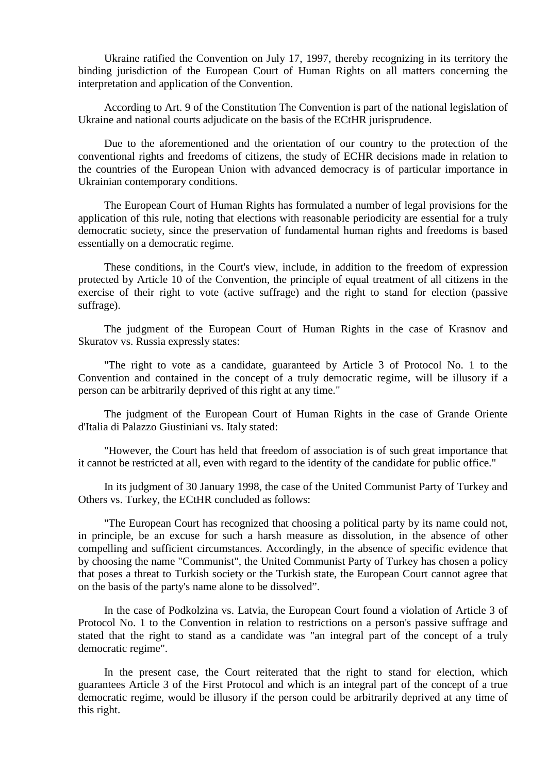Ukraine ratified the Convention on July 17, 1997, thereby recognizing in its territory the binding jurisdiction of the European Court of Human Rights on all matters concerning the interpretation and application of the Convention.

According to Art. 9 of the Constitution The Convention is part of the national legislation of Ukraine and national courts adjudicate on the basis of the ECtHR jurisprudence.

Due to the aforementioned and the orientation of our country to the protection of the conventional rights and freedoms of citizens, the study of ECHR decisions made in relation to the countries of the European Union with advanced democracy is of particular importance in Ukrainian contemporary conditions.

The European Court of Human Rights has formulated a number of legal provisions for the application of this rule, noting that elections with reasonable periodicity are essential for a truly democratic society, since the preservation of fundamental human rights and freedoms is based essentially on a democratic regime.

These conditions, in the Court's view, include, in addition to the freedom of expression protected by Article 10 of the Convention, the principle of equal treatment of all citizens in the exercise of their right to vote (active suffrage) and the right to stand for election (passive suffrage).

The judgment of the European Court of Human Rights in the case of Krasnov and Skuratov vs. Russia expressly states:

"The right to vote as a candidate, guaranteed by Article 3 of Protocol No. 1 to the Convention and contained in the concept of a truly democratic regime, will be illusory if a person can be arbitrarily deprived of this right at any time."

The judgment of the European Court of Human Rights in the case of Grande Oriente d'Italia di Palazzo Giustiniani vs. Italy stated:

"However, the Court has held that freedom of association is of such great importance that it cannot be restricted at all, even with regard to the identity of the candidate for public office."

In its judgment of 30 January 1998, the case of the United Communist Party of Turkey and Others vs. Turkey, the ECtHR concluded as follows:

"The European Court has recognized that choosing a political party by its name could not, in principle, be an excuse for such a harsh measure as dissolution, in the absence of other compelling and sufficient circumstances. Accordingly, in the absence of specific evidence that by choosing the name "Communist", the United Communist Party of Turkey has chosen a policy that poses a threat to Turkish society or the Turkish state, the European Court cannot agree that on the basis of the party's name alone to be dissolved".

In the case of Podkolzina vs. Latvia, the European Court found a violation of Article 3 of Protocol No. 1 to the Convention in relation to restrictions on a person's passive suffrage and stated that the right to stand as a candidate was "an integral part of the concept of a truly democratic regime".

In the present case, the Court reiterated that the right to stand for election, which guarantees Article 3 of the First Protocol and which is an integral part of the concept of a true democratic regime, would be illusory if the person could be arbitrarily deprived at any time of this right.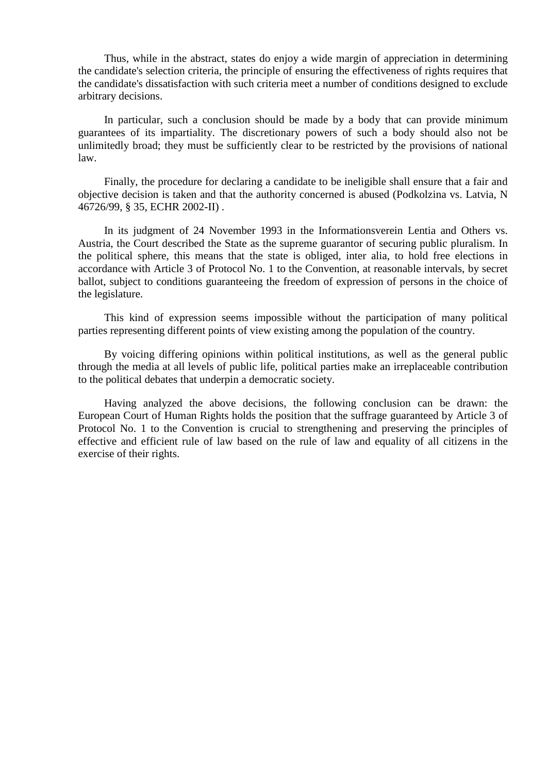Thus, while in the abstract, states do enjoy a wide margin of appreciation in determining the candidate's selection criteria, the principle of ensuring the effectiveness of rights requires that the candidate's dissatisfaction with such criteria meet a number of conditions designed to exclude arbitrary decisions.

In particular, such a conclusion should be made by a body that can provide minimum guarantees of its impartiality. The discretionary powers of such a body should also not be unlimitedly broad; they must be sufficiently clear to be restricted by the provisions of national law.

Finally, the procedure for declaring a candidate to be ineligible shall ensure that a fair and objective decision is taken and that the authority concerned is abused (Podkolzina vs. Latvia, N 46726/99, § 35, ECHR 2002-II) .

In its judgment of 24 November 1993 in the Informationsverein Lentia and Others vs. Austria, the Court described the State as the supreme guarantor of securing public pluralism. In the political sphere, this means that the state is obliged, inter alia, to hold free elections in accordance with Article 3 of Protocol No. 1 to the Convention, at reasonable intervals, by secret ballot, subject to conditions guaranteeing the freedom of expression of persons in the choice of the legislature.

This kind of expression seems impossible without the participation of many political parties representing different points of view existing among the population of the country.

By voicing differing opinions within political institutions, as well as the general public through the media at all levels of public life, political parties make an irreplaceable contribution to the political debates that underpin a democratic society.

Having analyzed the above decisions, the following conclusion can be drawn: the European Court of Human Rights holds the position that the suffrage guaranteed by Article 3 of Protocol No. 1 to the Convention is crucial to strengthening and preserving the principles of effective and efficient rule of law based on the rule of law and equality of all citizens in the exercise of their rights.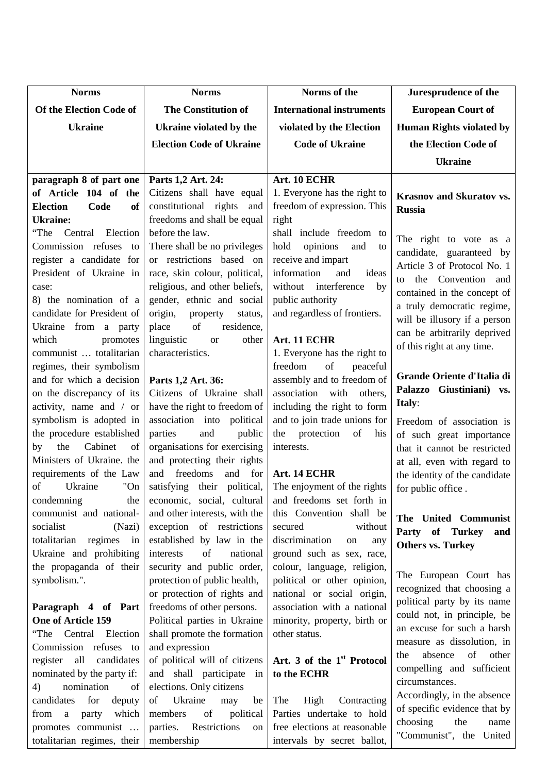| <b>Norms</b>                                           | <b>Norms</b>                                               | Norms of the                                      | Juresprudence of the                                     |
|--------------------------------------------------------|------------------------------------------------------------|---------------------------------------------------|----------------------------------------------------------|
| Of the Election Code of                                | <b>The Constitution of</b>                                 | <b>International instruments</b>                  | <b>European Court of</b>                                 |
| <b>Ukraine</b>                                         | Ukraine violated by the                                    | violated by the Election                          | <b>Human Rights violated by</b>                          |
|                                                        | <b>Election Code of Ukraine</b>                            | <b>Code of Ukraine</b>                            | the Election Code of                                     |
|                                                        |                                                            |                                                   | <b>Ukraine</b>                                           |
| paragraph 8 of part one                                | Parts 1,2 Art. 24:                                         | Art. 10 ECHR                                      |                                                          |
| of Article 104 of the                                  | Citizens shall have equal                                  | 1. Everyone has the right to                      | <b>Krasnov and Skuratov vs.</b>                          |
| <b>Election</b><br>Code<br>of                          | constitutional rights<br>and                               | freedom of expression. This                       | <b>Russia</b>                                            |
| <b>Ukraine:</b>                                        | freedoms and shall be equal                                | right                                             |                                                          |
| Central Election<br>"The                               | before the law.                                            | shall include freedom to                          |                                                          |
| Commission refuses<br>to                               | There shall be no privileges                               | opinions<br>hold<br>and<br>to                     | The right to vote as a<br>candidate, guaranteed by       |
| register a candidate for                               | or restrictions based on                                   | receive and impart                                | Article 3 of Protocol No. 1                              |
| President of Ukraine in                                | race, skin colour, political,                              | information<br>and<br>ideas                       | to the Convention and                                    |
| case:                                                  | religious, and other beliefs,                              | without<br>interference<br>by                     | contained in the concept of                              |
| 8) the nomination of a                                 | gender, ethnic and social                                  | public authority                                  | a truly democratic regime,                               |
| candidate for President of                             | origin,<br>property<br>status,                             | and regardless of frontiers.                      | will be illusory if a person                             |
| Ukraine from a party                                   | of<br>place<br>residence,                                  |                                                   | can be arbitrarily deprived                              |
| which<br>promotes                                      | linguistic<br>other<br><b>or</b>                           | Art. 11 ECHR                                      | of this right at any time.                               |
| communist  totalitarian                                | characteristics.                                           | 1. Everyone has the right to                      |                                                          |
| regimes, their symbolism                               |                                                            | freedom<br>of<br>peaceful                         | Grande Oriente d'Italia di                               |
| and for which a decision                               | Parts 1,2 Art. 36:                                         | assembly and to freedom of<br>association<br>with | Palazzo Giustiniani) vs.                                 |
| on the discrepancy of its<br>activity, name and / or   | Citizens of Ukraine shall                                  | others,<br>including the right to form            | <b>Italy:</b>                                            |
| symbolism is adopted in                                | have the right to freedom of<br>association into political | and to join trade unions for                      |                                                          |
| the procedure established                              | and<br>parties<br>public                                   | protection<br>of<br>the<br>his                    | Freedom of association is                                |
| Cabinet<br>the<br>by<br>of                             | organisations for exercising                               | interests.                                        | of such great importance<br>that it cannot be restricted |
| Ministers of Ukraine. the                              | and protecting their rights                                |                                                   | at all, even with regard to                              |
| requirements of the Law                                | freedoms<br>and<br>for<br>and                              | Art. 14 ECHR                                      | the identity of the candidate                            |
| of<br>"On<br>Ukraine                                   | satisfying their political,                                | The enjoyment of the rights                       | for public office.                                       |
| condemning<br>the                                      | economic, social, cultural                                 | and freedoms set forth in                         |                                                          |
| communist and national-                                | and other interests, with the                              | this Convention shall be                          | The United Communist                                     |
| socialist<br>(Nazi)                                    | exception of restrictions                                  | secured<br>without                                | Party of Turkey<br>and                                   |
| totalitarian regimes<br>$\overline{\text{in}}$         | established by law in the                                  | discrimination<br>on<br>any                       | <b>Others vs. Turkey</b>                                 |
| Ukraine and prohibiting                                | interests<br>of<br>national                                | ground such as sex, race,                         |                                                          |
| the propaganda of their                                | security and public order,                                 | colour, language, religion,                       | The European Court has                                   |
| symbolism.".                                           | protection of public health,                               | political or other opinion,                       | recognized that choosing a                               |
|                                                        | or protection of rights and                                | national or social origin,                        | political party by its name                              |
| Paragraph 4 of Part                                    | freedoms of other persons.                                 | association with a national                       | could not, in principle, be                              |
| <b>One of Article 159</b>                              | Political parties in Ukraine                               | minority, property, birth or                      | an excuse for such a harsh                               |
| "The Central Election                                  | shall promote the formation                                | other status.                                     | measure as dissolution, in                               |
| Commission refuses to<br>candidates<br>register<br>all | and expression<br>of political will of citizens            | Art. 3 of the 1 <sup>st</sup> Protocol            | absence<br>of<br>other<br>the                            |
| nominated by the party if:                             | and shall participate<br>in                                | to the ECHR                                       | compelling and sufficient                                |
| 4)<br>nomination<br>of                                 | elections. Only citizens                                   |                                                   | circumstances.                                           |
| for<br>candidates<br>deputy                            | Ukraine<br>of<br>may<br>be                                 | Contracting<br>The<br>High                        | Accordingly, in the absence                              |
| which<br>from a<br>party                               | of<br>political<br>members                                 | Parties undertake to hold                         | of specific evidence that by                             |
| promotes communist                                     | parties. Restrictions<br>on                                | free elections at reasonable                      | choosing<br>the<br>name                                  |
| totalitarian regimes, their                            | membership                                                 | intervals by secret ballot,                       | "Communist", the United                                  |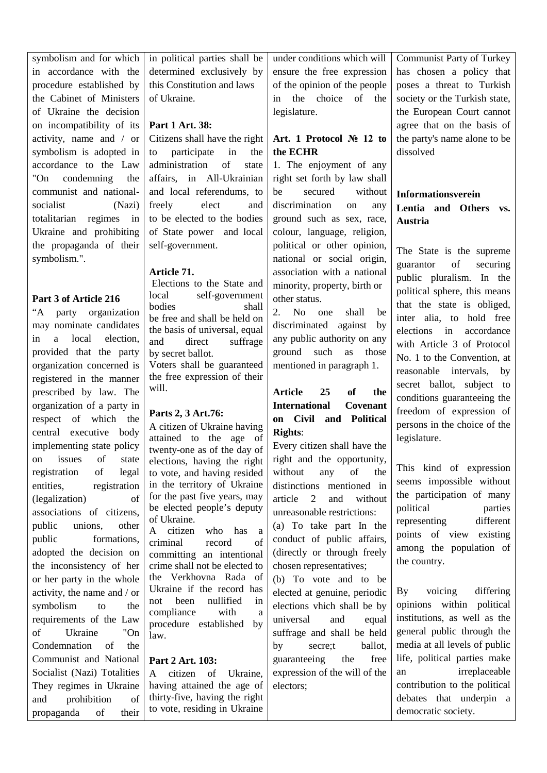symbolism and for which in accordance with the procedure established by the Cabinet of Ministers of Ukraine the decision on incompatibility of its activity, name and / or symbolism is adopted in accordance to the Law "On condemning the communist and nationalsocialist (Nazi) totalitarian regimes in Ukraine and prohibiting the propaganda of their symbolism.".

## **Part 3 of Article 216**

"A party organization may nominate candidates in a local election, provided that the party organization concerned is registered in the manner prescribed by law. The organization of a party in respect of which the central executive body implementing state policy on issues of state registration of legal entities, registration (legalization) of associations of citizens, public unions, other public formations, adopted the decision on the inconsistency of her or her party in the whole activity, the name and / or symbolism to the requirements of the Law of Ukraine "On Condemnation of the Communist and National Socialist (Nazi) Totalities They regimes in Ukraine and prohibition of propaganda of their in political parties shall be determined exclusively by this Constitution and laws of Ukraine.

### **Part 1 Art. 38:**

Citizens shall have the right to participate in the administration of state affairs, in All-Ukrainian and local referendums, to freely elect and to be elected to the bodies of State power and local self-government.

## **Article 71.**

Elections to the State and local self-government bodies shall be free and shall be held on the basis of universal, equal and direct suffrage by secret ballot. Voters shall be guaranteed the free expression of their will.

# **Parts 2, 3 Art.76:**

A citizen of Ukraine having attained to the age of twenty-one as of the day of elections, having the right to vote, and having resided in the territory of Ukraine for the past five years, may be elected people's deputy of Ukraine.

A citizen who has a criminal record of committing an intentional crime shall not be elected to the Verkhovna Rada of Ukraine if the record has not been nullified in compliance with a procedure established by law.

# **Part 2 Art. 103:**

A citizen of Ukraine, having attained the age of thirty-five, having the right to vote, residing in Ukraine

under conditions which will ensure the free expression of the opinion of the people in the choice of the legislature.

# **Art. 1 Protocol № 12 to the ECHR**

1. The enjoyment of any right set forth by law shall be secured without discrimination on any ground such as sex, race, colour, language, religion, political or other opinion, national or social origin, association with a national minority, property, birth or other status.

2. No one shall be discriminated against by any public authority on any ground such as those mentioned in paragraph 1.

# **Article 25 of the International Covenant on Civil and Political Rights**:

Every citizen shall have the right and the opportunity, without any of the distinctions mentioned in article 2 and without unreasonable restrictions:

(a) To take part In the conduct of public affairs, (directly or through freely chosen representatives;

(b) To vote and to be elected at genuine, periodic elections vhich shall be by universal and equal suffrage and shall be held by secre;t ballot, guaranteeing the free expression of the will of the electors;

Communist Party of Turkey has chosen a policy that poses a threat to Turkish society or the Turkish state, the European Court cannot agree that on the basis of the party's name alone to be dissolved

# **Informationsverein Lentia and Others vs. Austria**

The State is the supreme guarantor of securing public pluralism. In the political sphere, this means that the state is obliged, inter alia, to hold free elections in accordance with Article 3 of Protocol No. 1 to the Convention, at reasonable intervals, by secret ballot, subject to conditions guaranteeing the freedom of expression of persons in the choice of the legislature.

This kind of expression seems impossible without the participation of many political parties representing different points of view existing among the population of the country.

By voicing differing opinions within political institutions, as well as the general public through the media at all levels of public life, political parties make an irreplaceable contribution to the political debates that underpin a democratic society.